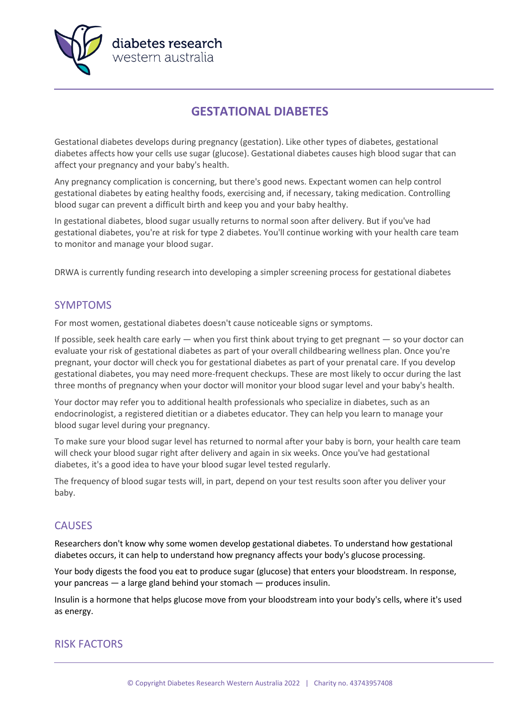

# **GESTATIONAL DIABETES**

Gestational diabetes develops during pregnancy (gestation). Like other types of diabetes, gestational diabetes affects how your cells use sugar (glucose). Gestational diabetes causes high blood sugar that can affect your pregnancy and your baby's health.

Any pregnancy complication is concerning, but there's good news. Expectant women can help control gestational diabetes by eating healthy foods, exercising and, if necessary, taking medication. Controlling blood sugar can prevent a difficult birth and keep you and your baby healthy.

In gestational diabetes, blood sugar usually returns to normal soon after delivery. But if you've had gestational diabetes, you're at risk for type 2 diabetes. You'll continue working with your health care team to monitor and manage your blood sugar.

DRWA is currently funding research into developing a simpler screening process for gestational diabetes

#### SYMPTOMS

For most women, gestational diabetes doesn't cause noticeable signs or symptoms.

If possible, seek health care early — when you first think about trying to get pregnant — so your doctor can evaluate your risk of gestational diabetes as part of your overall childbearing wellness plan. Once you're pregnant, your doctor will check you for gestational diabetes as part of your prenatal care. If you develop gestational diabetes, you may need more-frequent checkups. These are most likely to occur during the last three months of pregnancy when your doctor will monitor your blood sugar level and your baby's health.

Your doctor may refer you to additional health professionals who specialize in diabetes, such as an endocrinologist, a registered dietitian or a diabetes educator. They can help you learn to manage your blood sugar level during your pregnancy.

To make sure your blood sugar level has returned to normal after your baby is born, your health care team will check your blood sugar right after delivery and again in six weeks. Once you've had gestational diabetes, it's a good idea to have your blood sugar level tested regularly.

The frequency of blood sugar tests will, in part, depend on your test results soon after you deliver your baby.

# **CAUSES**

Researchers don't know why some women develop gestational diabetes. To understand how gestational diabetes occurs, it can help to understand how pregnancy affects your body's glucose processing.

Your body digests the food you eat to produce sugar (glucose) that enters your bloodstream. In response, your pancreas — a large gland behind your stomach — produces insulin.

Insulin is a hormone that helps glucose move from your bloodstream into your body's cells, where it's used as energy.

#### RISK FACTORS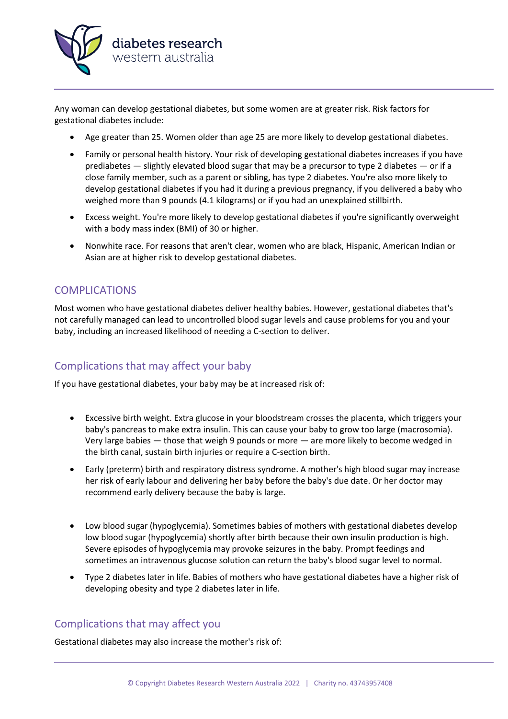

Any woman can develop gestational diabetes, but some women are at greater risk. Risk factors for gestational diabetes include:

- Age greater than 25. Women older than age 25 are more likely to develop gestational diabetes.
- Family or personal health history. Your risk of developing gestational diabetes increases if you have prediabetes — slightly elevated blood sugar that may be a precursor to type 2 diabetes — or if a close family member, such as a parent or sibling, has type 2 diabetes. You're also more likely to develop gestational diabetes if you had it during a previous pregnancy, if you delivered a baby who weighed more than 9 pounds (4.1 kilograms) or if you had an unexplained stillbirth.
- Excess weight. You're more likely to develop gestational diabetes if you're significantly overweight with a body mass index (BMI) of 30 or higher.
- Nonwhite race. For reasons that aren't clear, women who are black, Hispanic, American Indian or Asian are at higher risk to develop gestational diabetes.

### COMPLICATIONS

Most women who have gestational diabetes deliver healthy babies. However, gestational diabetes that's not carefully managed can lead to uncontrolled blood sugar levels and cause problems for you and your baby, including an increased likelihood of needing a C-section to deliver.

# Complications that may affect your baby

If you have gestational diabetes, your baby may be at increased risk of:

- Excessive birth weight. Extra glucose in your bloodstream crosses the placenta, which triggers your baby's pancreas to make extra insulin. This can cause your baby to grow too large (macrosomia). Very large babies — those that weigh 9 pounds or more — are more likely to become wedged in the birth canal, sustain birth injuries or require a C-section birth.
- Early (preterm) birth and respiratory distress syndrome. A mother's high blood sugar may increase her risk of early labour and delivering her baby before the baby's due date. Or her doctor may recommend early delivery because the baby is large.
- Low blood sugar (hypoglycemia). Sometimes babies of mothers with gestational diabetes develop low blood sugar (hypoglycemia) shortly after birth because their own insulin production is high. Severe episodes of hypoglycemia may provoke seizures in the baby. Prompt feedings and sometimes an intravenous glucose solution can return the baby's blood sugar level to normal.
- Type 2 diabetes later in life. Babies of mothers who have gestational diabetes have a higher risk of developing obesity and type 2 diabetes later in life.

#### Complications that may affect you

Gestational diabetes may also increase the mother's risk of: